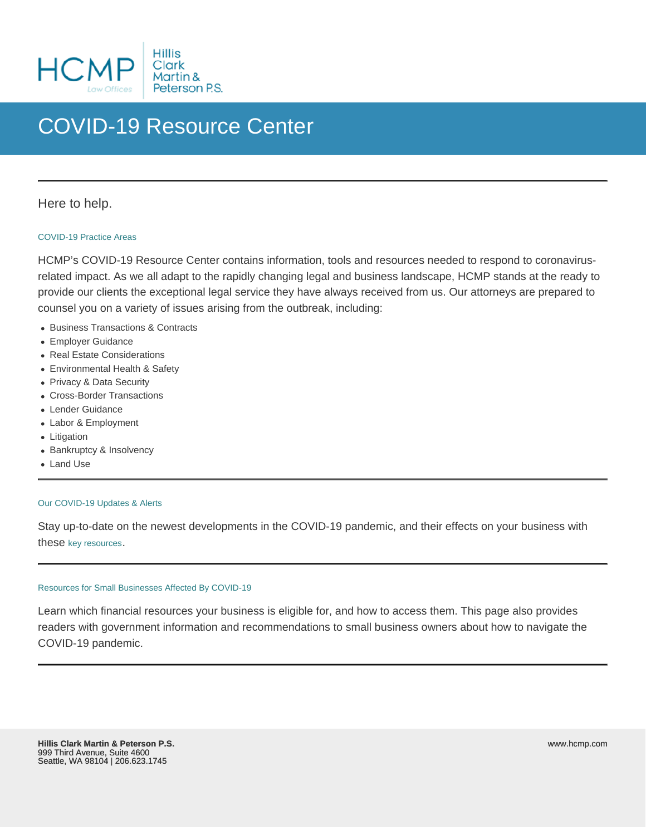# COVID-19 Resource Center

# Here to help.

## [COVID-19 Practice Areas](/service/covid-19-resources/areas-of-focus-COVID-19)

HCMP's COVID-19 Resource Center contains information, tools and resources needed to respond to coronavirusrelated impact. As we all adapt to the rapidly changing legal and business landscape, HCMP stands at the ready to provide our clients the exceptional legal service they have always received from us. Our attorneys are prepared to counsel you on a variety of issues arising from the outbreak, including:

- Business Transactions & Contracts
- Employer Guidance
- Real Estate Considerations
- Environmental Health & Safety
- Privacy & Data Security
- Cross-Border Transactions
- Lender Guidance
- Labor & Employment
- Litigation
- Bankruptcy & Insolvency
- Land Use

### [Our COVID-19 Updates & Alerts](/service/covid-19-resources/our-covid-19-updates-and-alerts)

Stay up-to-date on the newest developments in the COVID-19 pandemic, and their effects on your business with these [key resources](/service/covid-19-resources/our-covid-19-updates-and-alerts).

### [Resources for Small Businesses Affected By COVID-19](/service/covid-19-resources/covid-19-resources-for-small-businesses)

Learn which financial resources your business is eligible for, and how to access them. This page also provides readers with government information and recommendations to small business owners about how to navigate the COVID-19 pandemic.